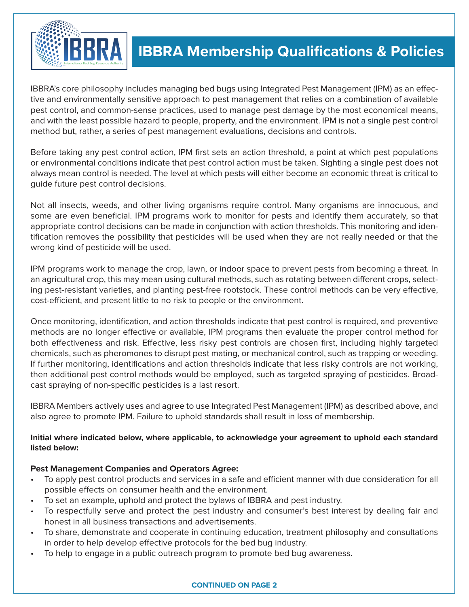

# **IBBRA Membership Qualifications & Policies**

IBBRA's core philosophy includes managing bed bugs using Integrated Pest Management (IPM) as an effective and environmentally sensitive approach to pest management that relies on a combination of available pest control, and common-sense practices, used to manage pest damage by the most economical means, and with the least possible hazard to people, property, and the environment. IPM is not a single pest control method but, rather, a series of pest management evaluations, decisions and controls.

Before taking any pest control action, IPM first sets an action threshold, a point at which pest populations or environmental conditions indicate that pest control action must be taken. Sighting a single pest does not always mean control is needed. The level at which pests will either become an economic threat is critical to guide future pest control decisions.

Not all insects, weeds, and other living organisms require control. Many organisms are innocuous, and some are even beneficial. IPM programs work to monitor for pests and identify them accurately, so that appropriate control decisions can be made in conjunction with action thresholds. This monitoring and identification removes the possibility that pesticides will be used when they are not really needed or that the wrong kind of pesticide will be used.

IPM programs work to manage the crop, lawn, or indoor space to prevent pests from becoming a threat. In an agricultural crop, this may mean using cultural methods, such as rotating between different crops, selecting pest-resistant varieties, and planting pest-free rootstock. These control methods can be very effective, cost-efficient, and present little to no risk to people or the environment.

Once monitoring, identification, and action thresholds indicate that pest control is required, and preventive methods are no longer effective or available, IPM programs then evaluate the proper control method for both effectiveness and risk. Effective, less risky pest controls are chosen first, including highly targeted chemicals, such as pheromones to disrupt pest mating, or mechanical control, such as trapping or weeding. If further monitoring, identifications and action thresholds indicate that less risky controls are not working, then additional pest control methods would be employed, such as targeted spraying of pesticides. Broadcast spraying of non-specific pesticides is a last resort.

IBBRA Members actively uses and agree to use Integrated Pest Management (IPM) as described above, and also agree to promote IPM. Failure to uphold standards shall result in loss of membership.

## **Initial where indicated below, where applicable, to acknowledge your agreement to uphold each standard listed below:**

## **Pest Management Companies and Operators Agree:**

- To apply pest control products and services in a safe and efficient manner with due consideration for all possible effects on consumer health and the environment.
- To set an example, uphold and protect the bylaws of IBBRA and pest industry.
- To respectfully serve and protect the pest industry and consumer's best interest by dealing fair and honest in all business transactions and advertisements.
- To share, demonstrate and cooperate in continuing education, treatment philosophy and consultations in order to help develop effective protocols for the bed bug industry.
- To help to engage in a public outreach program to promote bed bug awareness.

#### **CONTINUED ON PAGE 2**